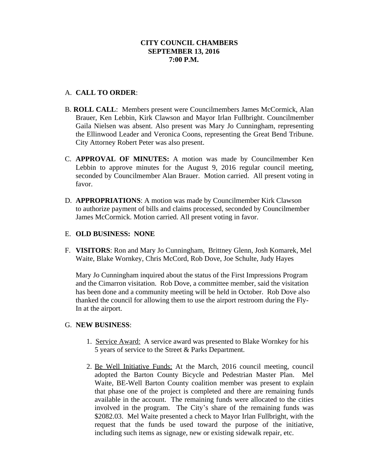# A. **CALL TO ORDER**:

- B. **ROLL CALL**: Members present were Councilmembers James McCormick, Alan Brauer, Ken Lebbin, Kirk Clawson and Mayor Irlan Fullbright. Councilmember Gaila Nielsen was absent. Also present was Mary Jo Cunningham, representing the Ellinwood Leader and Veronica Coons, representing the Great Bend Tribune. City Attorney Robert Peter was also present.
- C. **APPROVAL OF MINUTES:** A motion was made by Councilmember Ken Lebbin to approve minutes for the August 9, 2016 regular council meeting, seconded by Councilmember Alan Brauer. Motion carried. All present voting in favor.
- D. **APPROPRIATIONS**: A motion was made by Councilmember Kirk Clawson to authorize payment of bills and claims processed, seconded by Councilmember James McCormick. Motion carried. All present voting in favor.

### E. **OLD BUSINESS: NONE**

F. **VISITORS**: Ron and Mary Jo Cunningham, Brittney Glenn, Josh Komarek, Mel Waite, Blake Wornkey, Chris McCord, Rob Dove, Joe Schulte, Judy Hayes

Mary Jo Cunningham inquired about the status of the First Impressions Program and the Cimarron visitation. Rob Dove, a committee member, said the visitation has been done and a community meeting will be held in October. Rob Dove also thanked the council for allowing them to use the airport restroom during the Fly-In at the airport.

### G. **NEW BUSINESS**:

- 1. Service Award: A service award was presented to Blake Wornkey for his 5 years of service to the Street & Parks Department.
- 2. Be Well Initiative Funds: At the March, 2016 council meeting, council adopted the Barton County Bicycle and Pedestrian Master Plan. Mel Waite, BE-Well Barton County coalition member was present to explain that phase one of the project is completed and there are remaining funds available in the account. The remaining funds were allocated to the cities involved in the program. The City's share of the remaining funds was \$2082.03. Mel Waite presented a check to Mayor Irlan Fullbright, with the request that the funds be used toward the purpose of the initiative, including such items as signage, new or existing sidewalk repair, etc.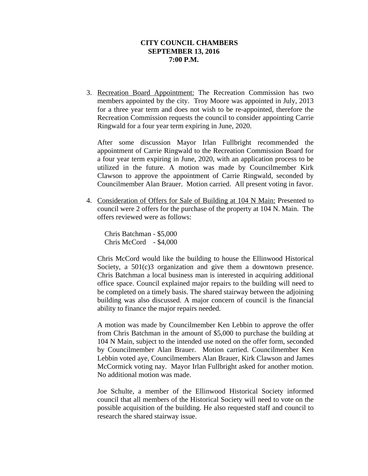3. Recreation Board Appointment: The Recreation Commission has two members appointed by the city. Troy Moore was appointed in July, 2013 for a three year term and does not wish to be re-appointed, therefore the Recreation Commission requests the council to consider appointing Carrie Ringwald for a four year term expiring in June, 2020.

After some discussion Mayor Irlan Fullbright recommended the appointment of Carrie Ringwald to the Recreation Commission Board for a four year term expiring in June, 2020, with an application process to be utilized in the future. A motion was made by Councilmember Kirk Clawson to approve the appointment of Carrie Ringwald, seconded by Councilmember Alan Brauer. Motion carried. All present voting in favor.

4. Consideration of Offers for Sale of Building at 104 N Main: Presented to council were 2 offers for the purchase of the property at 104 N. Main. The offers reviewed were as follows:

 Chris Batchman - \$5,000 Chris McCord - \$4,000

Chris McCord would like the building to house the Ellinwood Historical Society, a  $501(c)3$  organization and give them a downtown presence. Chris Batchman a local business man is interested in acquiring additional office space. Council explained major repairs to the building will need to be completed on a timely basis. The shared stairway between the adjoining building was also discussed. A major concern of council is the financial ability to finance the major repairs needed.

A motion was made by Councilmember Ken Lebbin to approve the offer from Chris Batchman in the amount of \$5,000 to purchase the building at 104 N Main, subject to the intended use noted on the offer form, seconded by Councilmember Alan Brauer. Motion carried. Councilmember Ken Lebbin voted aye, Councilmembers Alan Brauer, Kirk Clawson and James McCormick voting nay. Mayor Irlan Fullbright asked for another motion. No additional motion was made.

Joe Schulte, a member of the Ellinwood Historical Society informed council that all members of the Historical Society will need to vote on the possible acquisition of the building. He also requested staff and council to research the shared stairway issue.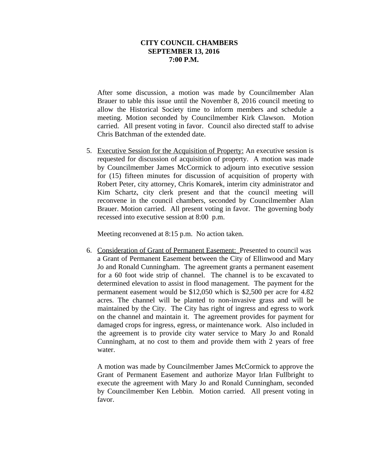After some discussion, a motion was made by Councilmember Alan Brauer to table this issue until the November 8, 2016 council meeting to allow the Historical Society time to inform members and schedule a meeting. Motion seconded by Councilmember Kirk Clawson. Motion carried. All present voting in favor. Council also directed staff to advise Chris Batchman of the extended date.

5. Executive Session for the Acquisition of Property: An executive session is requested for discussion of acquisition of property. A motion was made by Councilmember James McCormick to adjourn into executive session for (15) fifteen minutes for discussion of acquisition of property with Robert Peter, city attorney, Chris Komarek, interim city administrator and Kim Schartz, city clerk present and that the council meeting will reconvene in the council chambers, seconded by Councilmember Alan Brauer. Motion carried. All present voting in favor. The governing body recessed into executive session at 8:00 p.m.

Meeting reconvened at 8:15 p.m. No action taken.

6. Consideration of Grant of Permanent Easement: Presented to council was a Grant of Permanent Easement between the City of Ellinwood and Mary Jo and Ronald Cunningham. The agreement grants a permanent easement for a 60 foot wide strip of channel. The channel is to be excavated to determined elevation to assist in flood management. The payment for the permanent easement would be \$12,050 which is \$2,500 per acre for 4.82 acres. The channel will be planted to non-invasive grass and will be maintained by the City. The City has right of ingress and egress to work on the channel and maintain it. The agreement provides for payment for damaged crops for ingress, egress, or maintenance work. Also included in the agreement is to provide city water service to Mary Jo and Ronald Cunningham, at no cost to them and provide them with 2 years of free water.

A motion was made by Councilmember James McCormick to approve the Grant of Permanent Easement and authorize Mayor Irlan Fullbright to execute the agreement with Mary Jo and Ronald Cunningham, seconded by Councilmember Ken Lebbin. Motion carried. All present voting in favor.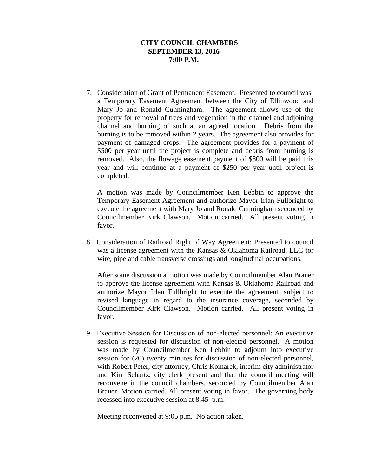7. Consideration of Grant of Permanent Easement: Presented to council was a Temporary Easement Agreement between the City of Ellinwood and Mary Jo and Ronald Cunningham. The agreement allows use of the property for removal of trees and vegetation in the channel and adjoining channel and burning of such at an agreed location. Debris from the burning is to be removed within 2 years. The agreement also provides for payment of damaged crops. The agreement provides for a payment of \$500 per year until the project is complete and debris from burning is removed. Also, the flowage easement payment of \$800 will be paid this year and will continue at a payment of \$250 per year until project is completed.

A motion was made by Councilmember Ken Lebbin to approve the Temporary Easement Agreement and authorize Mayor Irlan Fullbright to execute the agreement with Mary Jo and Ronald Cunningham seconded by Councilmember Kirk Clawson. Motion carried. All present voting in favor.

8. Consideration of Railroad Right of Way Agreement: Presented to council was a license agreement with the Kansas & Oklahoma Railroad, LLC for wire, pipe and cable transverse crossings and longitudinal occupations.

After some discussion a motion was made by Councilmember Alan Brauer to approve the license agreement with Kansas & Oklahoma Railroad and authorize Mayor Irlan Fullbright to execute the agreement, subject to revised language in regard to the insurance coverage, seconded by Councilmember Kirk Clawson. Motion carried. All present voting in favor.

9. Executive Session for Discussion of non-elected personnel: An executive session is requested for discussion of non-elected personnel. A motion was made by Councilmember Ken Lebbin to adjourn into executive session for (20) twenty minutes for discussion of non-elected personnel, with Robert Peter, city attorney, Chris Komarek, interim city administrator and Kim Schartz, city clerk present and that the council meeting will reconvene in the council chambers, seconded by Councilmember Alan Brauer. Motion carried. All present voting in favor. The governing body recessed into executive session at 8:45 p.m.

Meeting reconvened at 9:05 p.m. No action taken.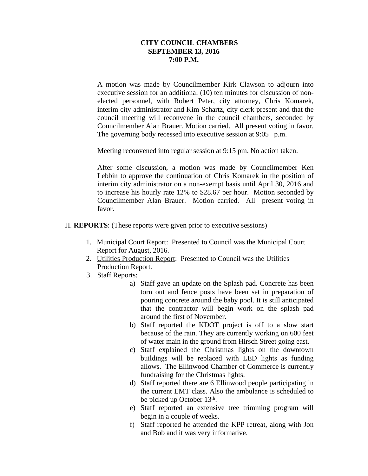A motion was made by Councilmember Kirk Clawson to adjourn into executive session for an additional (10) ten minutes for discussion of nonelected personnel, with Robert Peter, city attorney, Chris Komarek, interim city administrator and Kim Schartz, city clerk present and that the council meeting will reconvene in the council chambers, seconded by Councilmember Alan Brauer. Motion carried. All present voting in favor. The governing body recessed into executive session at 9:05 p.m.

Meeting reconvened into regular session at 9:15 pm. No action taken.

After some discussion, a motion was made by Councilmember Ken Lebbin to approve the continuation of Chris Komarek in the position of interim city administrator on a non-exempt basis until April 30, 2016 and to increase his hourly rate 12% to \$28.67 per hour. Motion seconded by Councilmember Alan Brauer. Motion carried. All present voting in favor.

- H. **REPORTS**: (These reports were given prior to executive sessions)
	- 1. Municipal Court Report: Presented to Council was the Municipal Court Report for August, 2016.
	- 2. Utilities Production Report: Presented to Council was the Utilities Production Report.
	- 3. Staff Reports:
		- a) Staff gave an update on the Splash pad. Concrete has been torn out and fence posts have been set in preparation of pouring concrete around the baby pool. It is still anticipated that the contractor will begin work on the splash pad around the first of November.
		- b) Staff reported the KDOT project is off to a slow start because of the rain. They are currently working on 600 feet of water main in the ground from Hirsch Street going east.
		- c) Staff explained the Christmas lights on the downtown buildings will be replaced with LED lights as funding allows. The Ellinwood Chamber of Commerce is currently fundraising for the Christmas lights.
		- d) Staff reported there are 6 Ellinwood people participating in the current EMT class. Also the ambulance is scheduled to be picked up October 13<sup>th</sup>.
		- e) Staff reported an extensive tree trimming program will begin in a couple of weeks.
		- f) Staff reported he attended the KPP retreat, along with Jon and Bob and it was very informative.